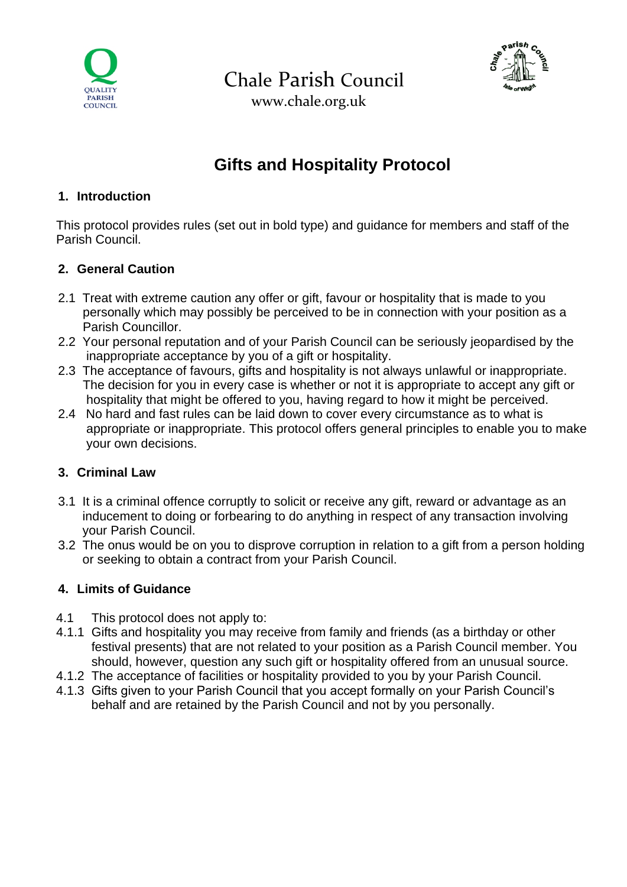

Chale Parish Council



www.chale.org.uk

# **Gifts and Hospitality Protocol**

#### **1. Introduction**

This protocol provides rules (set out in bold type) and guidance for members and staff of the Parish Council.

## **2. General Caution**

- 2.1 Treat with extreme caution any offer or gift, favour or hospitality that is made to you personally which may possibly be perceived to be in connection with your position as a Parish Councillor.
- 2.2 Your personal reputation and of your Parish Council can be seriously jeopardised by the inappropriate acceptance by you of a gift or hospitality.
- 2.3 The acceptance of favours, gifts and hospitality is not always unlawful or inappropriate. The decision for you in every case is whether or not it is appropriate to accept any gift or hospitality that might be offered to you, having regard to how it might be perceived.
- 2.4 No hard and fast rules can be laid down to cover every circumstance as to what is appropriate or inappropriate. This protocol offers general principles to enable you to make your own decisions.

#### **3. Criminal Law**

- 3.1 It is a criminal offence corruptly to solicit or receive any gift, reward or advantage as an inducement to doing or forbearing to do anything in respect of any transaction involving your Parish Council.
- 3.2 The onus would be on you to disprove corruption in relation to a gift from a person holding or seeking to obtain a contract from your Parish Council.

## **4. Limits of Guidance**

- 4.1 This protocol does not apply to:
- 4.1.1 Gifts and hospitality you may receive from family and friends (as a birthday or other festival presents) that are not related to your position as a Parish Council member. You should, however, question any such gift or hospitality offered from an unusual source.
- 4.1.2 The acceptance of facilities or hospitality provided to you by your Parish Council.
- 4.1.3 Gifts given to your Parish Council that you accept formally on your Parish Council's behalf and are retained by the Parish Council and not by you personally.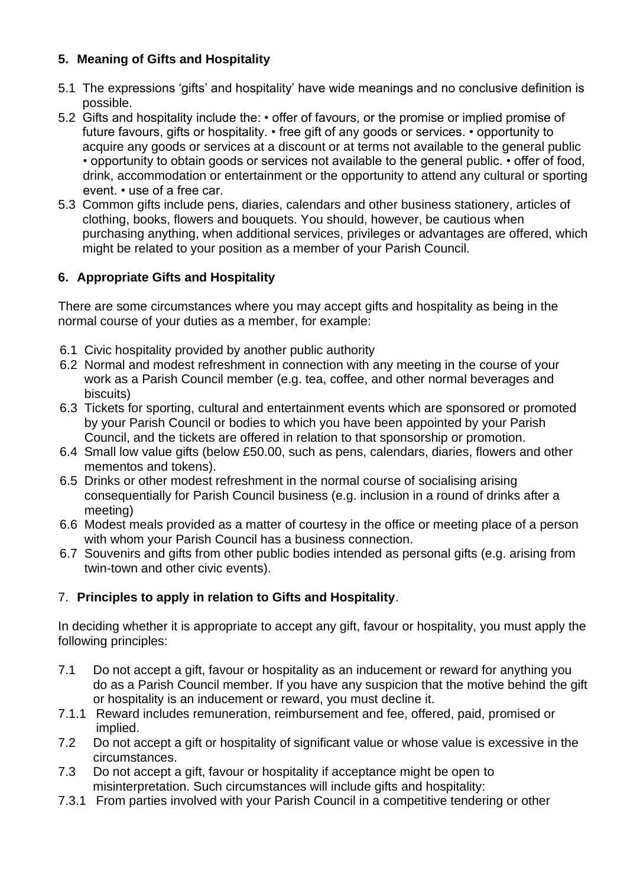## **5. Meaning of Gifts and Hospitality**

- 5.1 The expressions 'gifts' and hospitality' have wide meanings and no conclusive definition is possible.
- 5.2 Gifts and hospitality include the: offer of favours, or the promise or implied promise of future favours, gifts or hospitality. • free gift of any goods or services. • opportunity to acquire any goods or services at a discount or at terms not available to the general public • opportunity to obtain goods or services not available to the general public. • offer of food, drink, accommodation or entertainment or the opportunity to attend any cultural or sporting event. • use of a free car.
- 5.3 Common gifts include pens, diaries, calendars and other business stationery, articles of clothing, books, flowers and bouquets. You should, however, be cautious when purchasing anything, when additional services, privileges or advantages are offered, which might be related to your position as a member of your Parish Council.

#### **6. Appropriate Gifts and Hospitality**

There are some circumstances where you may accept gifts and hospitality as being in the normal course of your duties as a member, for example:

- 6.1 Civic hospitality provided by another public authority
- 6.2 Normal and modest refreshment in connection with any meeting in the course of your work as a Parish Council member (e.g. tea, coffee, and other normal beverages and biscuits)
- 6.3 Tickets for sporting, cultural and entertainment events which are sponsored or promoted by your Parish Council or bodies to which you have been appointed by your Parish Council, and the tickets are offered in relation to that sponsorship or promotion.
- 6.4 Small low value gifts (below £50.00, such as pens, calendars, diaries, flowers and other mementos and tokens).
- 6.5 Drinks or other modest refreshment in the normal course of socialising arising consequentially for Parish Council business (e.g. inclusion in a round of drinks after a meeting)
- 6.6 Modest meals provided as a matter of courtesy in the office or meeting place of a person with whom your Parish Council has a business connection.
- 6.7 Souvenirs and gifts from other public bodies intended as personal gifts (e.g. arising from twin-town and other civic events).

#### 7. **Principles to apply in relation to Gifts and Hospitality**.

In deciding whether it is appropriate to accept any gift, favour or hospitality, you must apply the following principles:

- 7.1 Do not accept a gift, favour or hospitality as an inducement or reward for anything you do as a Parish Council member. If you have any suspicion that the motive behind the gift or hospitality is an inducement or reward, you must decline it.
- 7.1.1 Reward includes remuneration, reimbursement and fee, offered, paid, promised or implied.
- 7.2 Do not accept a gift or hospitality of significant value or whose value is excessive in the circumstances.
- 7.3 Do not accept a gift, favour or hospitality if acceptance might be open to misinterpretation. Such circumstances will include gifts and hospitality:
- 7.3.1 From parties involved with your Parish Council in a competitive tendering or other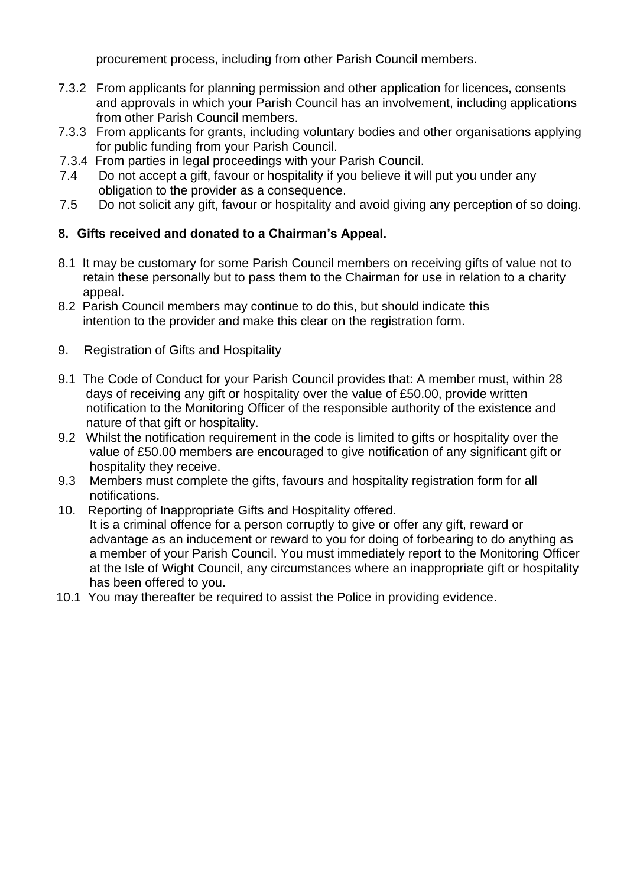procurement process, including from other Parish Council members.

- 7.3.2 From applicants for planning permission and other application for licences, consents and approvals in which your Parish Council has an involvement, including applications from other Parish Council members.
- 7.3.3 From applicants for grants, including voluntary bodies and other organisations applying for public funding from your Parish Council.
- 7.3.4 From parties in legal proceedings with your Parish Council.
- 7.4 Do not accept a gift, favour or hospitality if you believe it will put you under any obligation to the provider as a consequence.
- 7.5 Do not solicit any gift, favour or hospitality and avoid giving any perception of so doing.

## **8. Gifts received and donated to a Chairman's Appeal.**

- 8.1 It may be customary for some Parish Council members on receiving gifts of value not to retain these personally but to pass them to the Chairman for use in relation to a charity appeal.
- 8.2 Parish Council members may continue to do this, but should indicate this intention to the provider and make this clear on the registration form.
- 9. Registration of Gifts and Hospitality
- 9.1 The Code of Conduct for your Parish Council provides that: A member must, within 28 days of receiving any gift or hospitality over the value of £50.00, provide written notification to the Monitoring Officer of the responsible authority of the existence and nature of that gift or hospitality.
- 9.2 Whilst the notification requirement in the code is limited to gifts or hospitality over the value of £50.00 members are encouraged to give notification of any significant gift or hospitality they receive.
- 9.3 Members must complete the gifts, favours and hospitality registration form for all notifications.
- 10. Reporting of Inappropriate Gifts and Hospitality offered. It is a criminal offence for a person corruptly to give or offer any gift, reward or advantage as an inducement or reward to you for doing of forbearing to do anything as a member of your Parish Council. You must immediately report to the Monitoring Officer at the Isle of Wight Council, any circumstances where an inappropriate gift or hospitality has been offered to you.
- 10.1 You may thereafter be required to assist the Police in providing evidence.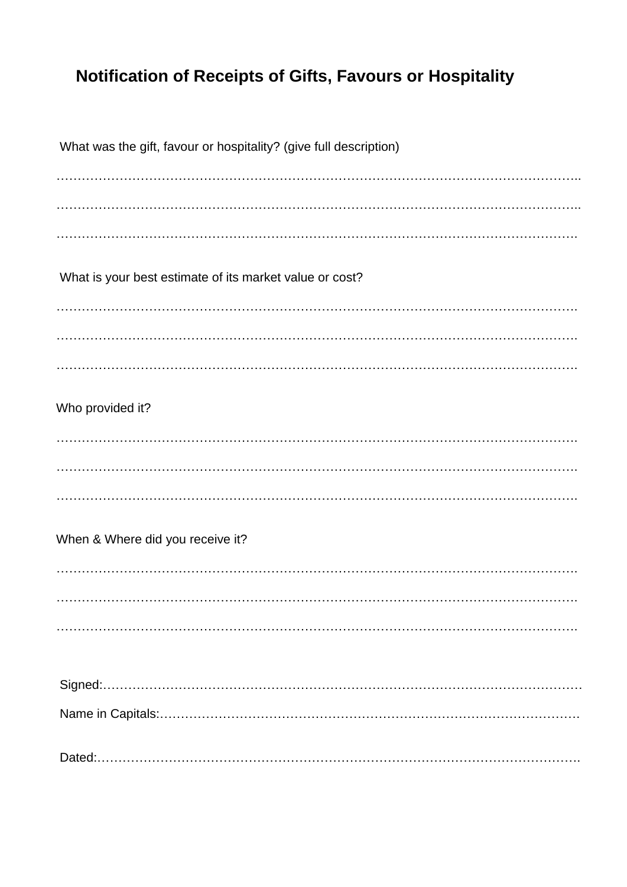# Notification of Receipts of Gifts, Favours or Hospitality

| What was the gift, favour or hospitality? (give full description) |
|-------------------------------------------------------------------|
|                                                                   |
|                                                                   |
|                                                                   |
| What is your best estimate of its market value or cost?           |
|                                                                   |
|                                                                   |
|                                                                   |
| Who provided it?                                                  |
|                                                                   |
|                                                                   |
|                                                                   |
| When & Where did you receive it?                                  |
|                                                                   |
|                                                                   |
|                                                                   |
|                                                                   |
|                                                                   |
|                                                                   |